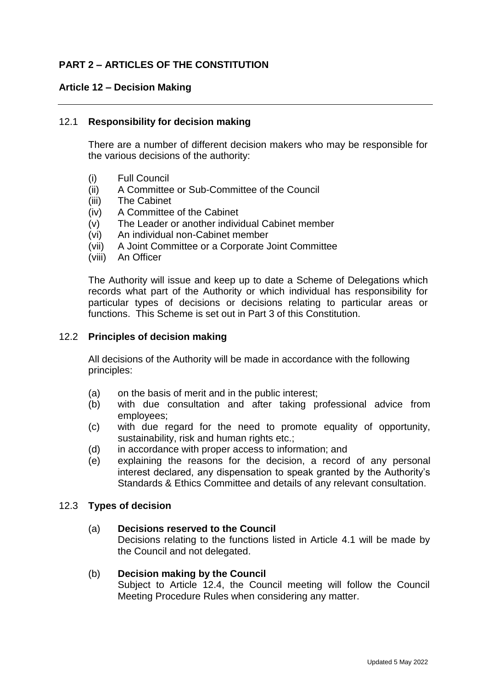# **PART 2 – ARTICLES OF THE CONSTITUTION**

### **Article 12 – Decision Making**

### 12.1 **Responsibility for decision making**

There are a number of different decision makers who may be responsible for the various decisions of the authority:

- (i) Full Council
- (ii) A Committee or Sub-Committee of the Council
- (iii) The Cabinet
- (iv) A Committee of the Cabinet
- (v) The Leader or another individual Cabinet member
- (vi) An individual non-Cabinet member
- (vii) A Joint Committee or a Corporate Joint Committee
- (viii) An Officer

The Authority will issue and keep up to date a Scheme of Delegations which records what part of the Authority or which individual has responsibility for particular types of decisions or decisions relating to particular areas or functions. This Scheme is set out in Part 3 of this Constitution.

### 12.2 **Principles of decision making**

All decisions of the Authority will be made in accordance with the following principles:

- (a) on the basis of merit and in the public interest;
- (b) with due consultation and after taking professional advice from employees;
- (c) with due regard for the need to promote equality of opportunity, sustainability, risk and human rights etc.;
- (d) in accordance with proper access to information; and
- (e) explaining the reasons for the decision, a record of any personal interest declared, any dispensation to speak granted by the Authority's Standards & Ethics Committee and details of any relevant consultation.

#### 12.3 **Types of decision**

#### (a) **Decisions reserved to the Council**

Decisions relating to the functions listed in Article 4.1 will be made by the Council and not delegated.

#### (b) **Decision making by the Council**

Subject to Article 12.4, the Council meeting will follow the Council Meeting Procedure Rules when considering any matter.